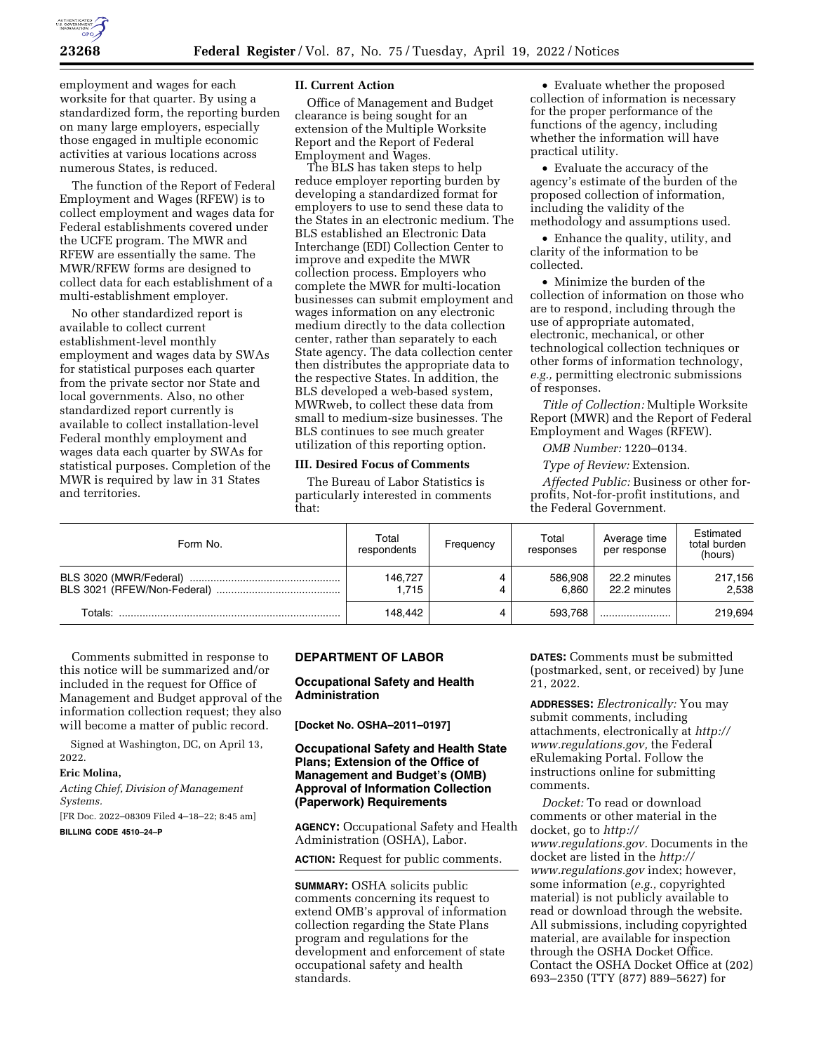

employment and wages for each worksite for that quarter. By using a standardized form, the reporting burden on many large employers, especially those engaged in multiple economic activities at various locations across numerous States, is reduced.

The function of the Report of Federal Employment and Wages (RFEW) is to collect employment and wages data for Federal establishments covered under the UCFE program. The MWR and RFEW are essentially the same. The MWR/RFEW forms are designed to collect data for each establishment of a multi-establishment employer.

No other standardized report is available to collect current establishment-level monthly employment and wages data by SWAs for statistical purposes each quarter from the private sector nor State and local governments. Also, no other standardized report currently is available to collect installation-level Federal monthly employment and wages data each quarter by SWAs for statistical purposes. Completion of the MWR is required by law in 31 States and territories.

### **II. Current Action**

Office of Management and Budget clearance is being sought for an extension of the Multiple Worksite Report and the Report of Federal Employment and Wages.

The BLS has taken steps to help reduce employer reporting burden by developing a standardized format for employers to use to send these data to the States in an electronic medium. The BLS established an Electronic Data Interchange (EDI) Collection Center to improve and expedite the MWR collection process. Employers who complete the MWR for multi-location businesses can submit employment and wages information on any electronic medium directly to the data collection center, rather than separately to each State agency. The data collection center then distributes the appropriate data to the respective States. In addition, the BLS developed a web-based system, MWRweb, to collect these data from small to medium-size businesses. The BLS continues to see much greater utilization of this reporting option.

### **III. Desired Focus of Comments**

The Bureau of Labor Statistics is particularly interested in comments that:

• Evaluate whether the proposed collection of information is necessary for the proper performance of the functions of the agency, including whether the information will have practical utility.

• Evaluate the accuracy of the agency's estimate of the burden of the proposed collection of information, including the validity of the methodology and assumptions used.

• Enhance the quality, utility, and clarity of the information to be collected.

• Minimize the burden of the collection of information on those who are to respond, including through the use of appropriate automated, electronic, mechanical, or other technological collection techniques or other forms of information technology, *e.g.,* permitting electronic submissions of responses.

*Title of Collection:* Multiple Worksite Report (MWR) and the Report of Federal Employment and Wages (RFEW).

*OMB Number:* 1220–0134.

*Type of Review:* Extension.

*Affected Public:* Business or other forprofits, Not-for-profit institutions, and the Federal Government.

| Form No. | Total<br>respondents | Frequency | Total<br>responses | Average time<br>per response | Estimated<br>total burden<br>(hours) |
|----------|----------------------|-----------|--------------------|------------------------------|--------------------------------------|
|          | 146.727<br>1.715     |           | 586.908<br>6.860   | 22.2 minutes<br>22.2 minutes | 217,156<br>2.538                     |
| Totals:  | 148.442              |           | 593.768            |                              | 219,694                              |

Comments submitted in response to this notice will be summarized and/or included in the request for Office of Management and Budget approval of the information collection request; they also will become a matter of public record.

Signed at Washington, DC, on April 13, 2022.

#### **Eric Molina,**

*Acting Chief, Division of Management Systems.* 

[FR Doc. 2022–08309 Filed 4–18–22; 8:45 am]

**BILLING CODE 4510–24–P** 

# **DEPARTMENT OF LABOR**

# **Occupational Safety and Health Administration**

**[Docket No. OSHA–2011–0197]** 

### **Occupational Safety and Health State Plans; Extension of the Office of Management and Budget's (OMB) Approval of Information Collection (Paperwork) Requirements**

**AGENCY:** Occupational Safety and Health Administration (OSHA), Labor.

**ACTION:** Request for public comments.

**SUMMARY:** OSHA solicits public comments concerning its request to extend OMB's approval of information collection regarding the State Plans program and regulations for the development and enforcement of state occupational safety and health standards.

**DATES:** Comments must be submitted (postmarked, sent, or received) by June 21, 2022.

**ADDRESSES:** *Electronically:* You may submit comments, including attachments, electronically at *[http://](http://www.regulations.gov) [www.regulations.gov,](http://www.regulations.gov)* the Federal eRulemaking Portal. Follow the instructions online for submitting comments.

*Docket:* To read or download comments or other material in the docket, go to *[http://](http://www.regulations.gov) [www.regulations.gov.](http://www.regulations.gov)* Documents in the docket are listed in the *[http://](http://www.regulations.gov) [www.regulations.gov](http://www.regulations.gov)* index; however, some information (*e.g.,* copyrighted material) is not publicly available to read or download through the website. All submissions, including copyrighted material, are available for inspection through the OSHA Docket Office. Contact the OSHA Docket Office at (202) 693–2350 (TTY (877) 889–5627) for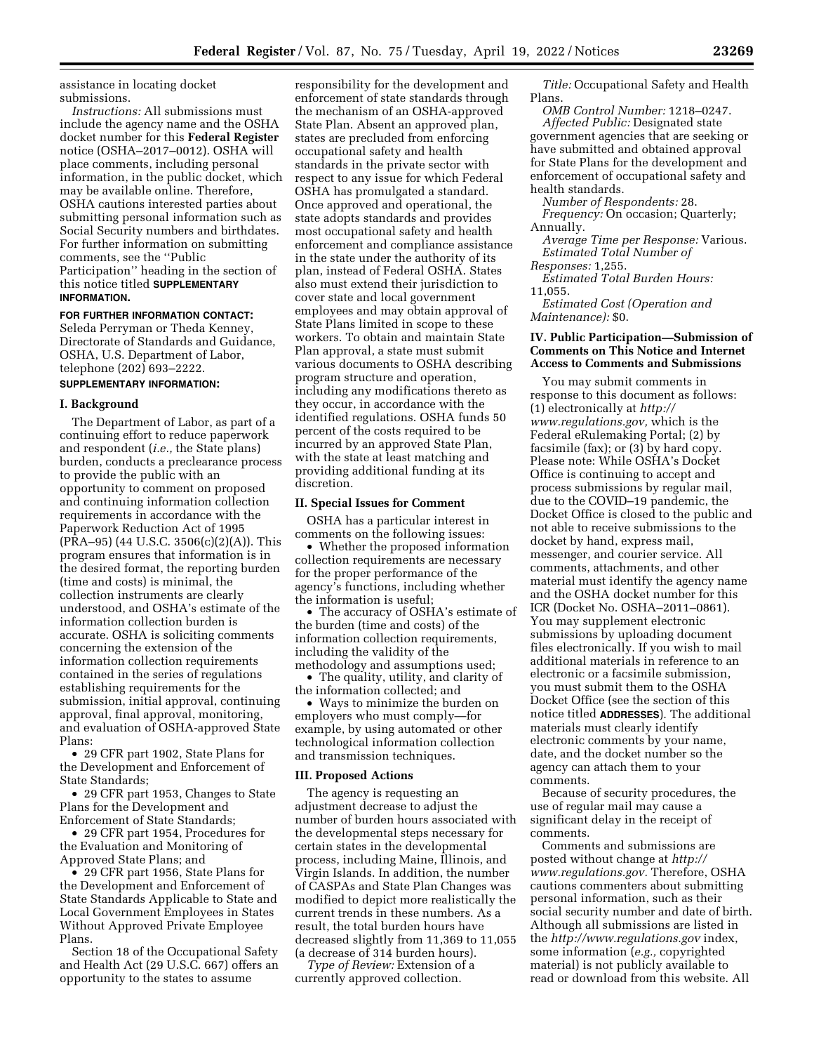assistance in locating docket submissions.

*Instructions:* All submissions must include the agency name and the OSHA docket number for this **Federal Register**  notice (OSHA–2017–0012). OSHA will place comments, including personal information, in the public docket, which may be available online. Therefore, OSHA cautions interested parties about submitting personal information such as Social Security numbers and birthdates. For further information on submitting comments, see the ''Public Participation'' heading in the section of this notice titled **SUPPLEMENTARY INFORMATION.** 

### **FOR FURTHER INFORMATION CONTACT:**

Seleda Perryman or Theda Kenney, Directorate of Standards and Guidance, OSHA, U.S. Department of Labor, telephone (202) 693–2222.

# **SUPPLEMENTARY INFORMATION:**

### **I. Background**

The Department of Labor, as part of a continuing effort to reduce paperwork and respondent (*i.e.,* the State plans) burden, conducts a preclearance process to provide the public with an opportunity to comment on proposed and continuing information collection requirements in accordance with the Paperwork Reduction Act of 1995 (PRA–95) (44 U.S.C. 3506(c)(2)(A)). This program ensures that information is in the desired format, the reporting burden (time and costs) is minimal, the collection instruments are clearly understood, and OSHA's estimate of the information collection burden is accurate. OSHA is soliciting comments concerning the extension of the information collection requirements contained in the series of regulations establishing requirements for the submission, initial approval, continuing approval, final approval, monitoring, and evaluation of OSHA-approved State Plans:

• 29 CFR part 1902, State Plans for the Development and Enforcement of State Standards;

• 29 CFR part 1953, Changes to State Plans for the Development and Enforcement of State Standards;

• 29 CFR part 1954, Procedures for the Evaluation and Monitoring of Approved State Plans; and

• 29 CFR part 1956, State Plans for the Development and Enforcement of State Standards Applicable to State and Local Government Employees in States Without Approved Private Employee Plans.

Section 18 of the Occupational Safety and Health Act (29 U.S.C. 667) offers an opportunity to the states to assume

responsibility for the development and enforcement of state standards through the mechanism of an OSHA-approved State Plan. Absent an approved plan, states are precluded from enforcing occupational safety and health standards in the private sector with respect to any issue for which Federal OSHA has promulgated a standard. Once approved and operational, the state adopts standards and provides most occupational safety and health enforcement and compliance assistance in the state under the authority of its plan, instead of Federal OSHA. States also must extend their jurisdiction to cover state and local government employees and may obtain approval of State Plans limited in scope to these workers. To obtain and maintain State Plan approval, a state must submit various documents to OSHA describing program structure and operation, including any modifications thereto as they occur, in accordance with the identified regulations. OSHA funds 50 percent of the costs required to be incurred by an approved State Plan, with the state at least matching and providing additional funding at its discretion.

#### **II. Special Issues for Comment**

OSHA has a particular interest in comments on the following issues:

• Whether the proposed information collection requirements are necessary for the proper performance of the agency's functions, including whether the information is useful;

• The accuracy of OSHA's estimate of the burden (time and costs) of the information collection requirements, including the validity of the methodology and assumptions used;

• The quality, utility, and clarity of the information collected; and

• Ways to minimize the burden on employers who must comply—for example, by using automated or other technological information collection and transmission techniques.

### **III. Proposed Actions**

The agency is requesting an adjustment decrease to adjust the number of burden hours associated with the developmental steps necessary for certain states in the developmental process, including Maine, Illinois, and Virgin Islands. In addition, the number of CASPAs and State Plan Changes was modified to depict more realistically the current trends in these numbers. As a result, the total burden hours have decreased slightly from 11,369 to 11,055 (a decrease of 314 burden hours).

*Type of Review:* Extension of a currently approved collection.

*Title:* Occupational Safety and Health Plans.

*OMB Control Number:* 1218–0247. *Affected Public:* Designated state government agencies that are seeking or have submitted and obtained approval for State Plans for the development and enforcement of occupational safety and health standards.

*Number of Respondents:* 28. *Frequency:* On occasion; Quarterly; Annually.

*Average Time per Response:* Various. *Estimated Total Number of* 

*Responses:* 1,255.

*Estimated Total Burden Hours:*  11,055.

*Estimated Cost (Operation and Maintenance):* \$0.

### **IV. Public Participation—Submission of Comments on This Notice and Internet Access to Comments and Submissions**

You may submit comments in response to this document as follows: (1) electronically at *[http://](http://www.regulations.gov) [www.regulations.gov,](http://www.regulations.gov)* which is the Federal eRulemaking Portal; (2) by facsimile (fax); or (3) by hard copy. Please note: While OSHA's Docket Office is continuing to accept and process submissions by regular mail, due to the COVID–19 pandemic, the Docket Office is closed to the public and not able to receive submissions to the docket by hand, express mail, messenger, and courier service. All comments, attachments, and other material must identify the agency name and the OSHA docket number for this ICR (Docket No. OSHA–2011–0861). You may supplement electronic submissions by uploading document files electronically. If you wish to mail additional materials in reference to an electronic or a facsimile submission, you must submit them to the OSHA Docket Office (see the section of this notice titled **ADDRESSES**). The additional materials must clearly identify electronic comments by your name, date, and the docket number so the agency can attach them to your comments.

Because of security procedures, the use of regular mail may cause a significant delay in the receipt of comments.

Comments and submissions are posted without change at *[http://](http://www.regulations.gov) [www.regulations.gov.](http://www.regulations.gov)* Therefore, OSHA cautions commenters about submitting personal information, such as their social security number and date of birth. Although all submissions are listed in the *<http://www.regulations.gov>*index, some information (*e.g.,* copyrighted material) is not publicly available to read or download from this website. All